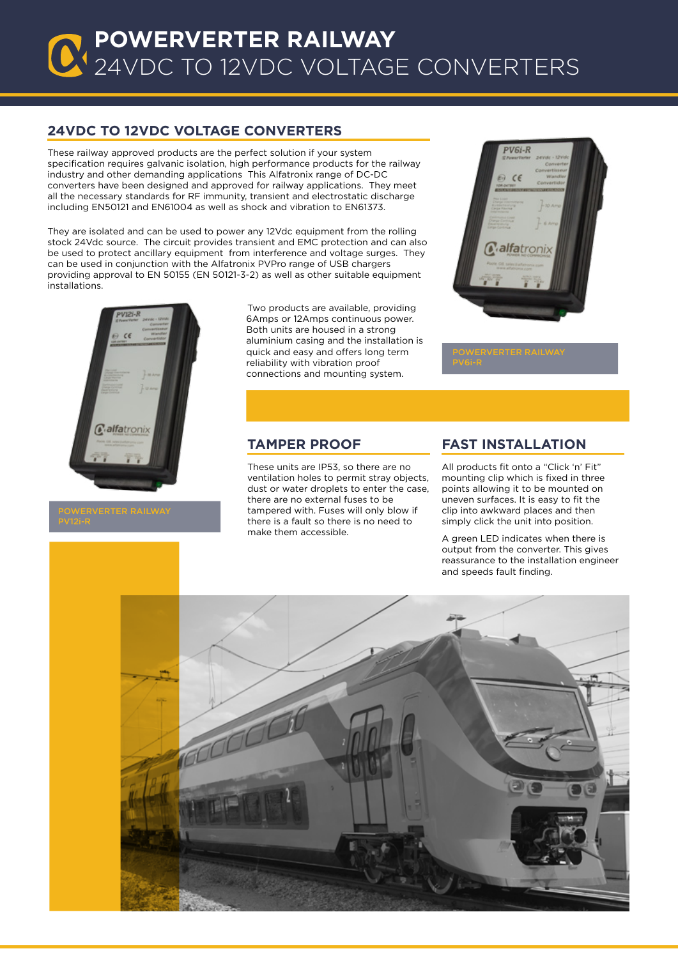### **Powerverter RAILWAY CONVERTERS RAILWAY** 24VDC TO 12VDC VOLTAGE CONVERTERS

### **24Vdc to 12VDC voltage converters**

These railway approved products are the perfect solution if your system specification requires galvanic isolation, high performance products for the railway industry and other demanding applications This Alfatronix range of DC-DC converters have been designed and approved for railway applications. They meet all the necessary standards for RF immunity, transient and electrostatic discharge including EN50121 and EN61004 as well as shock and vibration to EN61373.

They are isolated and can be used to power any 12Vdc equipment from the rolling stock 24Vdc source. The circuit provides transient and EMC protection and can also be used to protect ancillary equipment from interference and voltage surges. They can be used in conjunction with the Alfatronix PVPro range of USB chargers providing approval to EN 50155 (EN 50121-3-2) as well as other suitable equipment installations.



Two products are available, providing 6Amps or 12Amps continuous power. Both units are housed in a strong aluminium casing and the installation is quick and easy and offers long term reliability with vibration proof connections and mounting system.



#### **Tamper Proof**

These units are IP53, so there are no ventilation holes to permit stray objects, dust or water droplets to enter the case, there are no external fuses to be tampered with. Fuses will only blow if there is a fault so there is no need to make them accessible.

#### **Fast Installation**

All products fit onto a "Click 'n' Fit" mounting clip which is fixed in three points allowing it to be mounted on uneven surfaces. It is easy to fit the clip into awkward places and then simply click the unit into position.

A green LED indicates when there is output from the converter. This gives reassurance to the installation engineer and speeds fault finding.